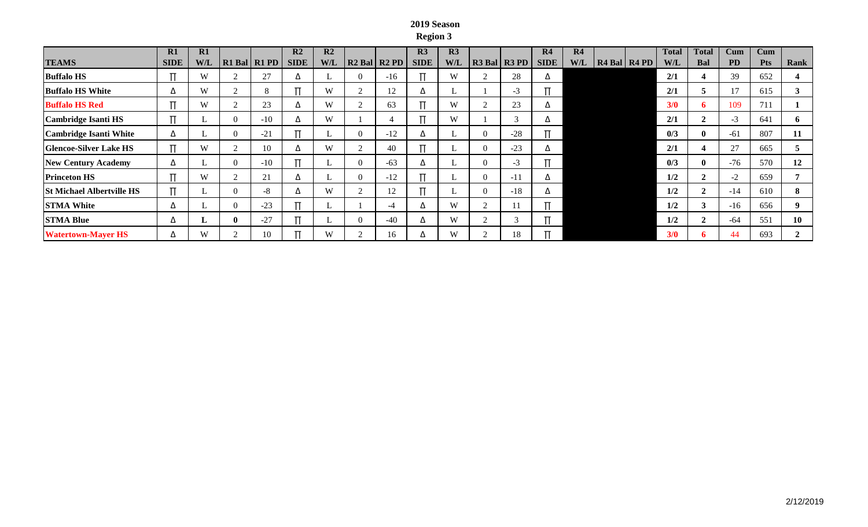## **2019 Season Region 3**

|                                  | R1          | R1  |          |              | R <sub>2</sub> | R <sub>2</sub> |          |                  | R <sub>3</sub> | R <sub>3</sub> |                  | R4          | R4  |                  | <b>Total</b> | <b>Total</b>       | $_{\rm Cum}$ | Cum        |      |
|----------------------------------|-------------|-----|----------|--------------|----------------|----------------|----------|------------------|----------------|----------------|------------------|-------------|-----|------------------|--------------|--------------------|--------------|------------|------|
| <b>TEAMS</b>                     | <b>SIDE</b> | W/L |          | R1 Bal R1 PD | <b>SIDE</b>    | <b>W/L</b>     |          | $R2$ Bal $R2$ PD | <b>SIDE</b>    | <b>W/L</b>     | $R3$ Bal $R3$ PD | <b>SIDE</b> | W/L | $R4$ Bal $R4$ PD | W/L          | Bal                | <b>PD</b>    | <b>Pts</b> | Rank |
| <b>Buffalo HS</b>                |             | W   |          | 27           | Δ              |                | $\theta$ | $-16$            |                | W              | 28               | △           |     |                  | 2/1          |                    | 39           | 652        |      |
| <b>Buffalo HS White</b>          | Δ           | W   |          |              |                | W              |          | 12               |                |                | $-3$             |             |     |                  | 2/1          | 5                  | 17           | 615        |      |
| <b>Buffalo HS Red</b>            |             | W   |          | 23           | Δ              | W              |          | 63               |                | W              | 23               | △           |     |                  | 3/0          | 6                  | 109          | 711        |      |
| Cambridge Isanti HS              |             |     |          | $-10$        |                | W              |          |                  |                | W              |                  | △           |     |                  | 2/1          | $\rightarrow$<br>∠ | $-3$         | 641        | O.   |
| <b>Cambridge Isanti White</b>    | Δ           |     |          | $-21$        |                |                | $\theta$ | $-12$            |                |                | $-28$            |             |     |                  | 0/3          | $\mathbf{0}$       | $-61$        | 807        | 11   |
| <b>Glencoe-Silver Lake HS</b>    |             | W   | $\sim$   | 10           | Δ              | W              |          | 40               |                |                | $-23$            | ▵           |     |                  | 2/1          |                    | 27           | 665        |      |
| <b>New Century Academy</b>       | Δ           |     |          | $-10$        |                |                | $\theta$ | $-63$            |                |                | $-3$             |             |     |                  | 0/3          | $\mathbf{0}$       | $-76$        | 570        | 12   |
| <b>Princeton HS</b>              | г           | W   | $\sim$   | 21           | Δ              |                | $\Omega$ | $-12$            |                |                | $-11$            | ▵           |     |                  | 1/2          | $\mathbf{2}$       | $-2$         | 659        |      |
| <b>St Michael Albertville HS</b> | г           |     |          | $-8$         | л              | W              |          | 12               |                |                | $-18$            | Δ           |     |                  | 1/2          | $\mathbf{2}$       | $-14$        | 610        | 8    |
| <b>STMA White</b>                | Δ           |     | $\Omega$ | $-23$        |                |                |          | -4               |                | W              |                  |             |     |                  | 1/2          | 3                  | $-16$        | 656        |      |
| <b>STMA Blue</b>                 | Δ           |     | ш        | $-27$        |                |                | $\theta$ | $-40$            |                | W              |                  |             |     |                  | 1/2          | $\mathbf{2}$       | $-64$        | 551        | 10   |
| <b>Watertown-Mayer HS</b>        | Δ           | W   | $\sim$   | 10           |                | W              |          | 16               |                | W              | 18               |             |     |                  | 3/0          |                    | 44           | 693        |      |